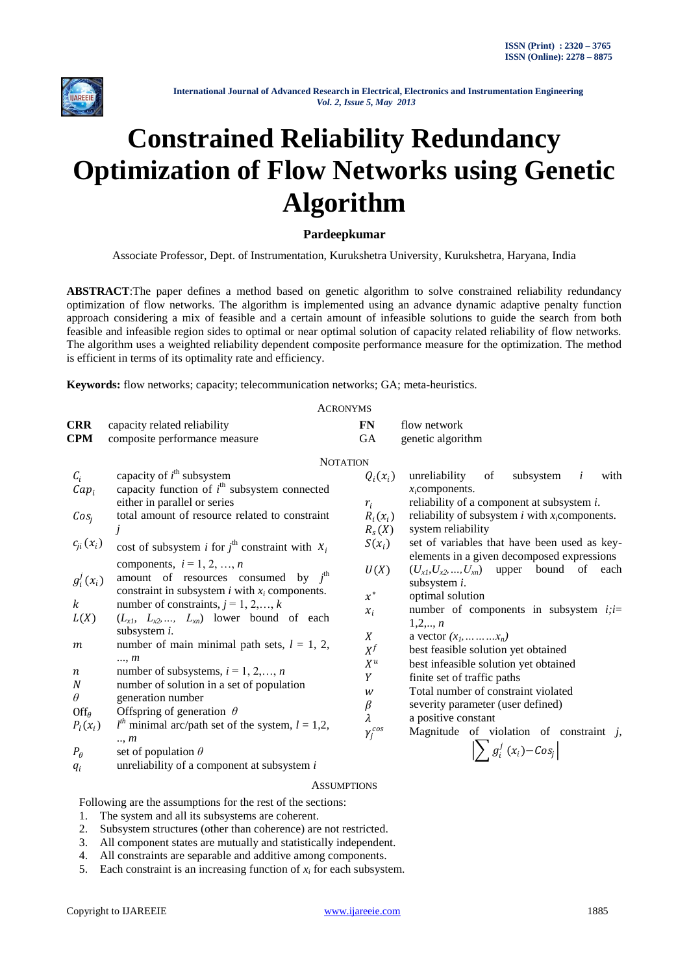

# **Constrained Reliability Redundancy Optimization of Flow Networks using Genetic Algorithm**

# **Pardeepkumar**

Associate Professor, Dept. of Instrumentation, Kurukshetra University, Kurukshetra, Haryana, India

**ABSTRACT**:The paper defines a method based on genetic algorithm to solve constrained reliability redundancy optimization of flow networks. The algorithm is implemented using an advance dynamic adaptive penalty function approach considering a mix of feasible and a certain amount of infeasible solutions to guide the search from both feasible and infeasible region sides to optimal or near optimal solution of capacity related reliability of flow networks. The algorithm uses a weighted reliability dependent composite performance measure for the optimization. The method is efficient in terms of its optimality rate and efficiency.

**Keywords:** flow networks; capacity; telecommunication networks; GA; meta-heuristics.

|                                                                                                                                                                                                    | <b>ACRONYMS</b>                                                                                                                                                                                                                                                                                                                                                                                                                                                                                                                                                                                                                                                                                                                                                                              |                                                                                                                                                    |                                                                                                                                                                                                                                                                                                                                                                                                                                                                                                                                                                                                                                                                                                                                                                      |
|----------------------------------------------------------------------------------------------------------------------------------------------------------------------------------------------------|----------------------------------------------------------------------------------------------------------------------------------------------------------------------------------------------------------------------------------------------------------------------------------------------------------------------------------------------------------------------------------------------------------------------------------------------------------------------------------------------------------------------------------------------------------------------------------------------------------------------------------------------------------------------------------------------------------------------------------------------------------------------------------------------|----------------------------------------------------------------------------------------------------------------------------------------------------|----------------------------------------------------------------------------------------------------------------------------------------------------------------------------------------------------------------------------------------------------------------------------------------------------------------------------------------------------------------------------------------------------------------------------------------------------------------------------------------------------------------------------------------------------------------------------------------------------------------------------------------------------------------------------------------------------------------------------------------------------------------------|
| <b>CRR</b>                                                                                                                                                                                         | capacity related reliability                                                                                                                                                                                                                                                                                                                                                                                                                                                                                                                                                                                                                                                                                                                                                                 | <b>FN</b>                                                                                                                                          | flow network                                                                                                                                                                                                                                                                                                                                                                                                                                                                                                                                                                                                                                                                                                                                                         |
| <b>CPM</b>                                                                                                                                                                                         | composite performance measure                                                                                                                                                                                                                                                                                                                                                                                                                                                                                                                                                                                                                                                                                                                                                                | GA                                                                                                                                                 | genetic algorithm                                                                                                                                                                                                                                                                                                                                                                                                                                                                                                                                                                                                                                                                                                                                                    |
|                                                                                                                                                                                                    | <b>NOTATION</b>                                                                                                                                                                                                                                                                                                                                                                                                                                                                                                                                                                                                                                                                                                                                                                              |                                                                                                                                                    |                                                                                                                                                                                                                                                                                                                                                                                                                                                                                                                                                                                                                                                                                                                                                                      |
| $\mathcal{C}_i$<br>$Cap_i$<br>Cos <sub>j</sub><br>$c_{ji}(x_i)$<br>$g_i^j(x_i)$<br>$\boldsymbol{k}$<br>L(X)<br>m<br>$\boldsymbol{n}$<br>$\boldsymbol{N}$<br>$\theta$<br>$Off_\theta$<br>$P_l(x_i)$ | capacity of $i^{\text{th}}$ subsystem<br>capacity function of $ith$ subsystem connected<br>either in parallel or series<br>total amount of resource related to constraint<br>cost of subsystem <i>i</i> for $j^{\text{th}}$ constraint with $x_i$<br>components, $i = 1, 2, , n$<br>amount of resources consumed by $j^{\text{th}}$<br>constraint in subsystem $i$ with $x_i$ components.<br>number of constraints, $j = 1, 2, , k$<br>$(L_{x1}, L_{x2},, L_{xn})$ lower bound of each<br>subsystem <i>i</i> .<br>number of main minimal path sets, $l = 1, 2,$<br>, m<br>number of subsystems, $i = 1, 2, , n$<br>number of solution in a set of population<br>generation number<br>Offspring of generation $\theta$<br>$lth$ minimal arc/path set of the system, $l = 1,2$ ,<br>$\ldots$ m | $Q_i(x_i)$<br>$r_i$<br>$R_i(x_i)$<br>$R_s(X)$<br>$S(x_i)$<br>U(X)<br>$x^*$<br>$x_i$<br>X<br>$X^f$<br>$X^u$<br>Y<br>w<br>β<br>λ<br>$\gamma_i^{cos}$ | unreliability<br>subsystem<br>with<br>of<br>i<br>$x_i$ components.<br>reliability of a component at subsystem i.<br>reliability of subsystem $i$ with $x_i$ components.<br>system reliability<br>set of variables that have been used as key-<br>elements in a given decomposed expressions<br>$(U_{x1}, U_{x2}, , U_{xn})$ upper bound of<br>each<br>subsystem <i>i</i> .<br>optimal solution<br>number of components in subsystem $i$ ; $i=$<br>$1, 2, \ldots, n$<br>a vector $(x_1, \ldots, x_n)$<br>best feasible solution yet obtained<br>best infeasible solution yet obtained<br>finite set of traffic paths<br>Total number of constraint violated<br>severity parameter (user defined)<br>a positive constant<br>Magnitude of violation of constraint $j$ , |
| $P_{\theta}$<br>$q_i$                                                                                                                                                                              | set of population $\theta$<br>unreliability of a component at subsystem $i$                                                                                                                                                                                                                                                                                                                                                                                                                                                                                                                                                                                                                                                                                                                  |                                                                                                                                                    | $\sum g_i^j(x_i) - Cos_j$                                                                                                                                                                                                                                                                                                                                                                                                                                                                                                                                                                                                                                                                                                                                            |

# **ASSUMPTIONS**

Following are the assumptions for the rest of the sections:

- 1. The system and all its subsystems are coherent.
- 2. Subsystem structures (other than coherence) are not restricted.
- 3. All component states are mutually and statistically independent.
- 4. All constraints are separable and additive among components.
- 5. Each constraint is an increasing function of  $x_i$  for each subsystem.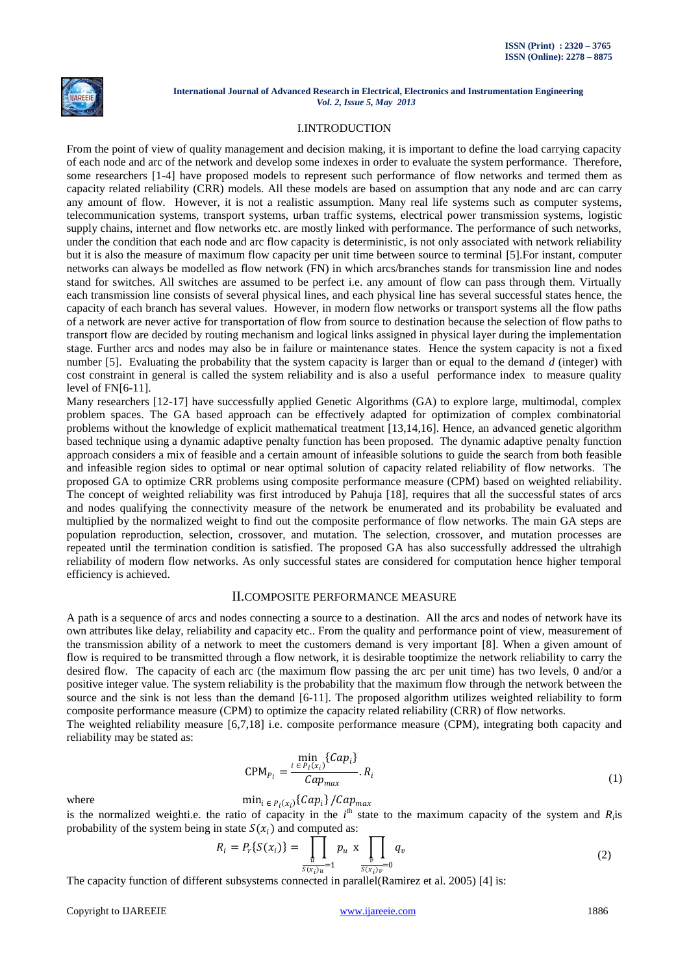

# I.INTRODUCTION

From the point of view of quality management and decision making, it is important to define the load carrying capacity of each node and arc of the network and develop some indexes in order to evaluate the system performance. Therefore, some researchers [1-4] have proposed models to represent such performance of flow networks and termed them as capacity related reliability (CRR) models. All these models are based on assumption that any node and arc can carry any amount of flow. However, it is not a realistic assumption. Many real life systems such as computer systems, telecommunication systems, transport systems, urban traffic systems, electrical power transmission systems, logistic supply chains, internet and flow networks etc. are mostly linked with performance. The performance of such networks, under the condition that each node and arc flow capacity is deterministic, is not only associated with network reliability but it is also the measure of maximum flow capacity per unit time between source to terminal [5].For instant, computer networks can always be modelled as flow network (FN) in which arcs/branches stands for transmission line and nodes stand for switches. All switches are assumed to be perfect i.e. any amount of flow can pass through them. Virtually each transmission line consists of several physical lines, and each physical line has several successful states hence, the capacity of each branch has several values. However, in modern flow networks or transport systems all the flow paths of a network are never active for transportation of flow from source to destination because the selection of flow paths to transport flow are decided by routing mechanism and logical links assigned in physical layer during the implementation stage. Further arcs and nodes may also be in failure or maintenance states. Hence the system capacity is not a fixed number [5]. Evaluating the probability that the system capacity is larger than or equal to the demand *d* (integer) with cost constraint in general is called the system reliability and is also a useful performance index to measure quality level of FN[6-11].

Many researchers [12-17] have successfully applied Genetic Algorithms (GA) to explore large, multimodal, complex problem spaces. The GA based approach can be effectively adapted for optimization of complex combinatorial problems without the knowledge of explicit mathematical treatment [13,14,16]. Hence, an advanced genetic algorithm based technique using a dynamic adaptive penalty function has been proposed. The dynamic adaptive penalty function approach considers a mix of feasible and a certain amount of infeasible solutions to guide the search from both feasible and infeasible region sides to optimal or near optimal solution of capacity related reliability of flow networks. The proposed GA to optimize CRR problems using composite performance measure (CPM) based on weighted reliability. The concept of weighted reliability was first introduced by Pahuja [18], requires that all the successful states of arcs and nodes qualifying the connectivity measure of the network be enumerated and its probability be evaluated and multiplied by the normalized weight to find out the composite performance of flow networks. The main GA steps are population reproduction, selection, crossover, and mutation. The selection, crossover, and mutation processes are repeated until the termination condition is satisfied. The proposed GA has also successfully addressed the ultrahigh reliability of modern flow networks. As only successful states are considered for computation hence higher temporal efficiency is achieved.

# II.COMPOSITE PERFORMANCE MEASURE

A path is a sequence of arcs and nodes connecting a source to a destination. All the arcs and nodes of network have its own attributes like delay, reliability and capacity etc.. From the quality and performance point of view, measurement of the transmission ability of a network to meet the customers demand is very important [8]. When a given amount of flow is required to be transmitted through a flow network, it is desirable tooptimize the network reliability to carry the desired flow. The capacity of each arc (the maximum flow passing the arc per unit time) has two levels, 0 and/or a positive integer value. The system reliability is the probability that the maximum flow through the network between the source and the sink is not less than the demand [6-11]. The proposed algorithm utilizes weighted reliability to form composite performance measure (CPM) to optimize the capacity related reliability (CRR) of flow networks.

The weighted reliability measure [6,7,18] i.e. composite performance measure (CPM), integrating both capacity and reliability may be stated as:

$$
\text{CPM}_{P_l} = \frac{\min_{i \in P_l(x_i)} \{Cap_i\}}{Cap_{max}} \cdot R_i \tag{1}
$$

where  $\min_{i \in P_l(x_i)} \{Cap_i\} / Cap_{max}$ 

is the normalized weighti.e. the ratio of capacity in the  $i^{\text{th}}$  state to the maximum capacity of the system and  $R_i$ is probability of the system being in state  $S(x_i)$  and computed as:

$$
R_{i} = P_{r}\{S(x_{i})\} = \prod_{\substack{u \\ S(x_{i})u = 1}} p_{u} \times \prod_{\substack{v \\ S(x_{i})v = 0}} q_{v}
$$
\n(2)

The capacity function of different subsystems connected in parallel(Ramirez et al. 2005) [4] is: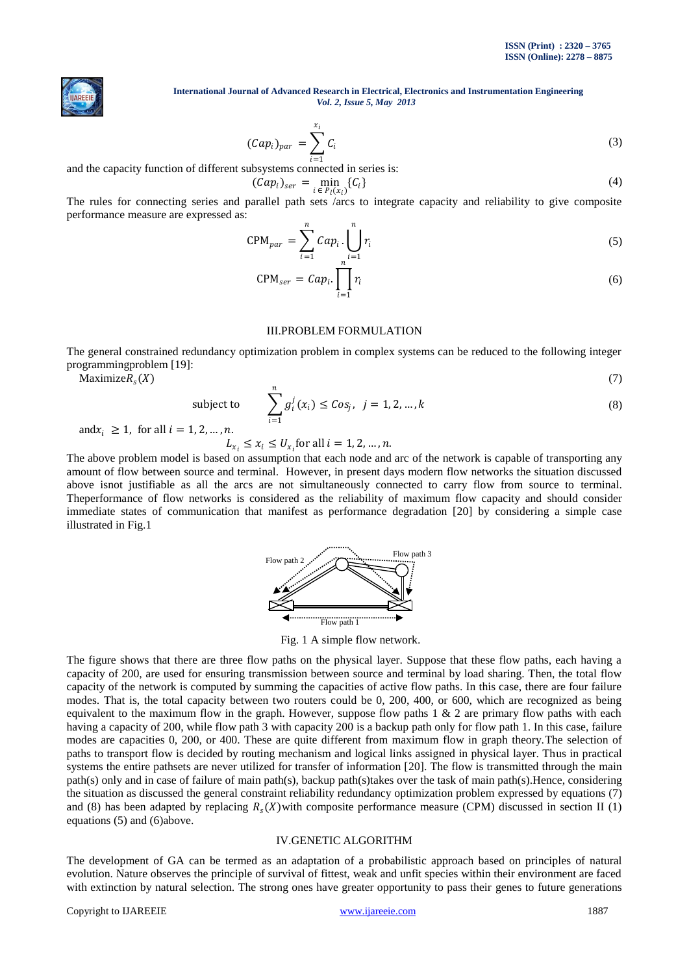

$$
(\mathcal{C}ap_i)_{par} = \sum_{i=1}^{x_i} C_i
$$
 (3)

and the capacity function of different subsystems connected in series is:

$$
(\mathcal{C}ap_i)_{ser} = \min_{i \in P_l(x_i)} \{C_i\} \tag{4}
$$

The rules for connecting series and parallel path sets /arcs to integrate capacity and reliability to give composite performance measure are expressed as:

$$
CPM_{par} = \sum_{i=1}^{n} Cap_i \cdot \bigcup_{i=1}^{n} r_i
$$
 (5)

$$
CPM_{ser} = Cap_i \cdot \prod_{i=1}^{n} r_i
$$
 (6)

#### III.PROBLEM FORMULATION

The general constrained redundancy optimization problem in complex systems can be reduced to the following integer programmingproblem [19]:

 $\text{Maximize}R_{\text{s}}(X)$  (7)

subject to 
$$
\sum_{i=1}^{n} g_i^j(x_i) \leq \text{Cos}_j, \ \ j = 1, 2, ..., k
$$
 (8)

and  $x_i \geq 1$ , for all  $i = 1, 2, ..., n$ .

 $L_{x_i} \leq x_i \leq U_{x_i}$ for all  $i = 1, 2, ..., n$ .

The above problem model is based on assumption that each node and arc of the network is capable of transporting any amount of flow between source and terminal. However, in present days modern flow networks the situation discussed above isnot justifiable as all the arcs are not simultaneously connected to carry flow from source to terminal. Theperformance of flow networks is considered as the reliability of maximum flow capacity and should consider immediate states of communication that manifest as performance degradation [20] by considering a simple case illustrated in Fig.1



Fig. 1 A simple flow network.

The figure shows that there are three flow paths on the physical layer. Suppose that these flow paths, each having a capacity of 200, are used for ensuring transmission between source and terminal by load sharing. Then, the total flow capacity of the network is computed by summing the capacities of active flow paths. In this case, there are four failure modes. That is, the total capacity between two routers could be 0, 200, 400, or 600, which are recognized as being equivalent to the maximum flow in the graph. However, suppose flow paths  $1 \& 2$  are primary flow paths with each having a capacity of 200, while flow path 3 with capacity 200 is a backup path only for flow path 1. In this case, failure modes are capacities 0, 200, or 400. These are quite different from maximum flow in graph theory.The selection of paths to transport flow is decided by routing mechanism and logical links assigned in physical layer. Thus in practical systems the entire pathsets are never utilized for transfer of information [20]. The flow is transmitted through the main path(s) only and in case of failure of main path(s), backup path(s)takes over the task of main path(s).Hence, considering the situation as discussed the general constraint reliability redundancy optimization problem expressed by equations (7) and (8) has been adapted by replacing  $R_s(X)$  with composite performance measure (CPM) discussed in section II (1) equations (5) and (6)above.

# IV.GENETIC ALGORITHM

The development of GA can be termed as an adaptation of a probabilistic approach based on principles of natural evolution. Nature observes the principle of survival of fittest, weak and unfit species within their environment are faced with extinction by natural selection. The strong ones have greater opportunity to pass their genes to future generations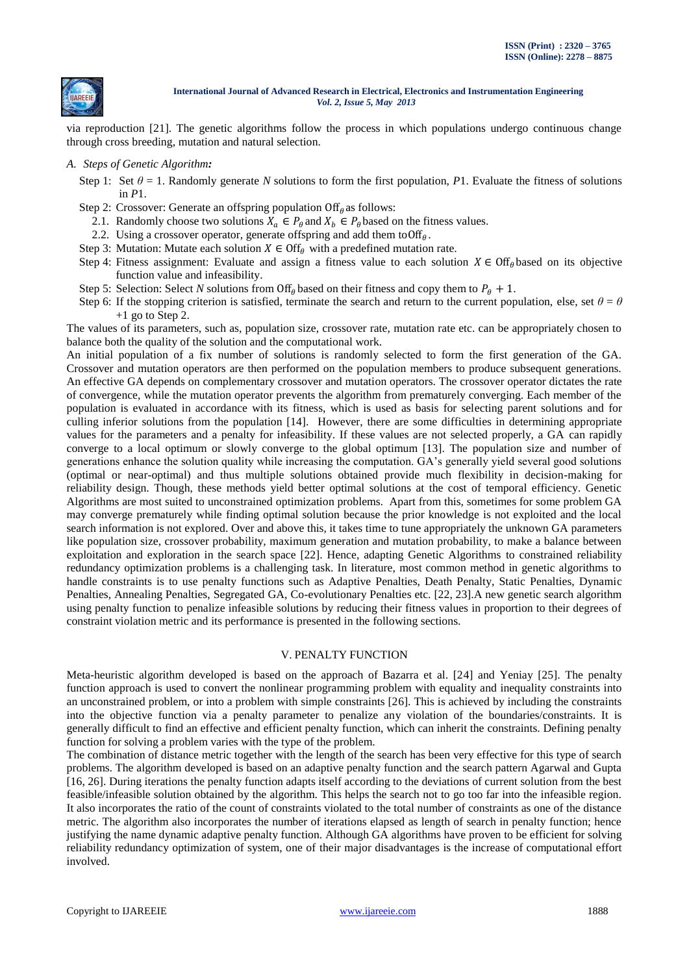

via reproduction [21]. The genetic algorithms follow the process in which populations undergo continuous change through cross breeding, mutation and natural selection.

- *A. Steps of Genetic Algorithm:* 
	- Step 1: Set  $\theta = 1$ . Randomly generate *N* solutions to form the first population, *P*1. Evaluate the fitness of solutions in *P*1.
	- Step 2: Crossover: Generate an offspring population  $\text{Off}_\theta$  as follows:
		- 2.1. Randomly choose two solutions  $X_a \in P_\theta$  and  $X_b \in P_\theta$  based on the fitness values.
		- 2.2. Using a crossover operator, generate offspring and add them to Off $_{\theta}$ .
	- Step 3: Mutation: Mutate each solution  $X \in \text{Off}_\theta$  with a predefined mutation rate.
	- Step 4: Fitness assignment: Evaluate and assign a fitness value to each solution  $X \in \text{Off}_\theta$  based on its objective function value and infeasibility.
	- Step 5: Selection: Select *N* solutions from Off<sub> $\theta$ </sub> based on their fitness and copy them to  $P_{\theta} + 1$ .
	- Step 6: If the stopping criterion is satisfied, terminate the search and return to the current population, else, set  $\theta = \theta$  $+1$  go to Step 2.

The values of its parameters, such as, population size, crossover rate, mutation rate etc. can be appropriately chosen to balance both the quality of the solution and the computational work.

An initial population of a fix number of solutions is randomly selected to form the first generation of the GA. Crossover and mutation operators are then performed on the population members to produce subsequent generations. An effective GA depends on complementary crossover and mutation operators. The crossover operator dictates the rate of convergence, while the mutation operator prevents the algorithm from prematurely converging. Each member of the population is evaluated in accordance with its fitness, which is used as basis for selecting parent solutions and for culling inferior solutions from the population [14]. However, there are some difficulties in determining appropriate values for the parameters and a penalty for infeasibility. If these values are not selected properly, a GA can rapidly converge to a local optimum or slowly converge to the global optimum [13]. The population size and number of generations enhance the solution quality while increasing the computation. GA's generally yield several good solutions (optimal or near-optimal) and thus multiple solutions obtained provide much flexibility in decision-making for reliability design. Though, these methods yield better optimal solutions at the cost of temporal efficiency. Genetic Algorithms are most suited to unconstrained optimization problems. Apart from this, sometimes for some problem GA may converge prematurely while finding optimal solution because the prior knowledge is not exploited and the local search information is not explored. Over and above this, it takes time to tune appropriately the unknown GA parameters like population size, crossover probability, maximum generation and mutation probability, to make a balance between exploitation and exploration in the search space [22]. Hence, adapting Genetic Algorithms to constrained reliability redundancy optimization problems is a challenging task. In literature, most common method in genetic algorithms to handle constraints is to use penalty functions such as Adaptive Penalties, Death Penalty, Static Penalties, Dynamic Penalties, Annealing Penalties, Segregated GA, Co-evolutionary Penalties etc. [22, 23].A new genetic search algorithm using penalty function to penalize infeasible solutions by reducing their fitness values in proportion to their degrees of constraint violation metric and its performance is presented in the following sections.

#### V. PENALTY FUNCTION

Meta-heuristic algorithm developed is based on the approach of Bazarra et al. [24] and Yeniay [25]. The penalty function approach is used to convert the nonlinear programming problem with equality and inequality constraints into an unconstrained problem, or into a problem with simple constraints [26]. This is achieved by including the constraints into the objective function via a penalty parameter to penalize any violation of the boundaries/constraints. It is generally difficult to find an effective and efficient penalty function, which can inherit the constraints. Defining penalty function for solving a problem varies with the type of the problem.

The combination of distance metric together with the length of the search has been very effective for this type of search problems. The algorithm developed is based on an adaptive penalty function and the search pattern Agarwal and Gupta [16, 26]. During iterations the penalty function adapts itself according to the deviations of current solution from the best feasible/infeasible solution obtained by the algorithm. This helps the search not to go too far into the infeasible region. It also incorporates the ratio of the count of constraints violated to the total number of constraints as one of the distance metric. The algorithm also incorporates the number of iterations elapsed as length of search in penalty function; hence justifying the name dynamic adaptive penalty function. Although GA algorithms have proven to be efficient for solving reliability redundancy optimization of system, one of their major disadvantages is the increase of computational effort involved.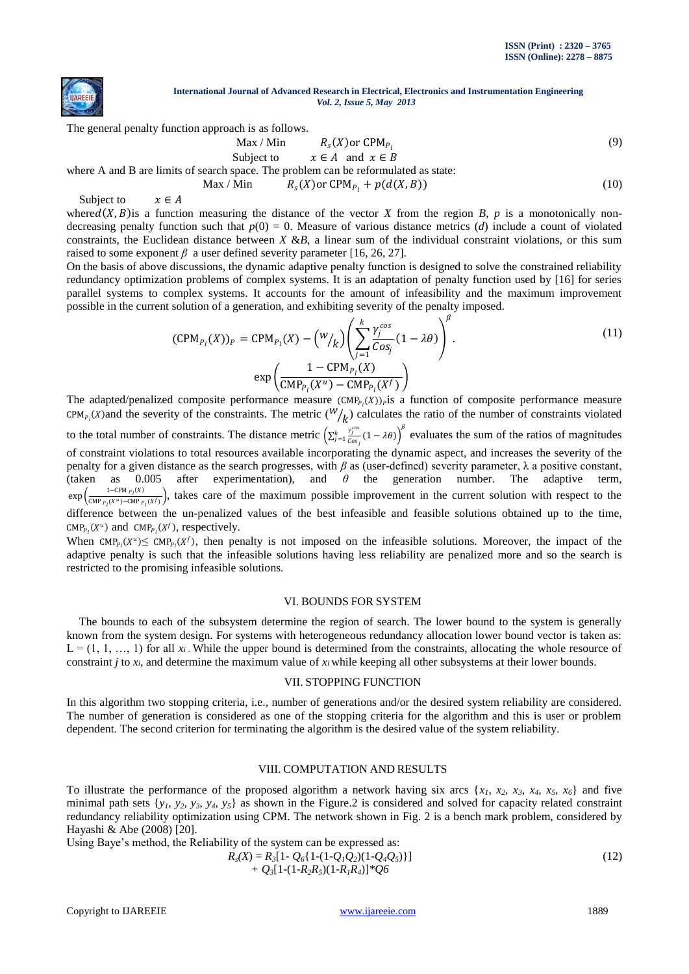

The general penalty function approach is as follows.

$$
\text{Max} / \text{Min} \qquad R_s(X) \text{or } \text{CPM}_{P_l} \tag{9}
$$

Subject to  $x \in A$  and  $x \in B$ where A and B are limits of search space. The problem can be reformulated as state:

Max / Min  $R_s(X)$  or CPM<sub>P<sub>1</sub></sub> +  $p(d(X, B))$  (10)

Subject to  $x \in A$ 

where  $d(X, B)$  is a function measuring the distance of the vector *X* from the region *B*, *p* is a monotonically nondecreasing penalty function such that  $p(0) = 0$ . Measure of various distance metrics (*d*) include a count of violated constraints, the Euclidean distance between  $X \&B$ , a linear sum of the individual constraint violations, or this sum raised to some exponent *β* a user defined severity parameter [16, 26, 27].

On the basis of above discussions, the dynamic adaptive penalty function is designed to solve the constrained reliability redundancy optimization problems of complex systems. It is an adaptation of penalty function used by [16] for series parallel systems to complex systems. It accounts for the amount of infeasibility and the maximum improvement possible in the current solution of a generation, and exhibiting severity of the penalty imposed.

$$
(\text{CPM}_{P_l}(X))_P = \text{CPM}_{P_l}(X) - \left(\frac{W}{k}\right) \left(\sum_{j=1}^k \frac{\gamma_j^{cos}}{\cos_j} (1 - \lambda \theta)\right)^{\beta}.
$$
\n
$$
\exp\left(\frac{1 - \text{CPM}_{P_l}(X)}{\text{CMP}_{P_l}(X^u) - \text{CMP}_{P_l}(X^f)}\right).
$$
\n(11)

The adapted/penalized composite performance measure  $(CMP_{P_1}(X))_P$  is a function of composite performance measure CPM<sub>P<sub>l</sub></sub>(*X*) and the severity of the constraints. The metric ( $W/$ <sub>*k*</sub>) calculates the ratio of the number of constraints violated to the total number of constraints. The distance metric  $\left(\sum_{i=1}^{k} \frac{y_i^{cos}}{c_{i-1}}\right)$  $\int_{t=1}^{k} \frac{y_i^{pos}}{cos} (1 - \lambda \theta) \bigg)^{\beta}$  evaluates the sum of the ratios of magnitudes of constraint violations to total resources available incorporating the dynamic aspect, and increases the severity of the penalty for a given distance as the search progresses, with *β* as (user-defined) severity parameter, λ a positive constant, (taken as 0.005 after experimentation), and *θ* the generation number. The adaptive term,  $\exp\left(\frac{1-\text{CPM}_{P_l}(X)}{\text{CHR}_{I_l}(X)\right)$  $\frac{1-CPMP_I(X)}{CMPP_I(X^H)-CMPP_I(X^F)}$ , takes care of the maximum possible improvement in the current solution with respect to the difference between the un-penalized values of the best infeasible and feasible solutions obtained up to the time,  $\text{CMP}_{P_l}(X^u)$  and  $\text{CMP}_{P_l}(X^f)$ , respectively.

When  $\text{CMP}_{P_1}(X^u) \leq \text{CMP}_{P_1}(X^f)$ , then penalty is not imposed on the infeasible solutions. Moreover, the impact of the adaptive penalty is such that the infeasible solutions having less reliability are penalized more and so the search is restricted to the promising infeasible solutions.

# VI. BOUNDS FOR SYSTEM

The bounds to each of the subsystem determine the region of search. The lower bound to the system is generally known from the system design. For systems with heterogeneous redundancy allocation lower bound vector is taken as:  $L = (1, 1, \ldots, 1)$  for all  $x_i$ . While the upper bound is determined from the constraints, allocating the whole resource of constraint *j* to *xi*, and determine the maximum value of *xi* while keeping all other subsystems at their lower bounds.

#### VII. STOPPING FUNCTION

In this algorithm two stopping criteria, i.e., number of generations and/or the desired system reliability are considered. The number of generation is considered as one of the stopping criteria for the algorithm and this is user or problem dependent. The second criterion for terminating the algorithm is the desired value of the system reliability.

# VIII. COMPUTATION AND RESULTS

To illustrate the performance of the proposed algorithm a network having six arcs  $\{x_1, x_2, x_3, x_4, x_5, x_6\}$  and five minimal path sets  $\{y_1, y_2, y_3, y_4, y_5\}$  as shown in the Figure.2 is considered and solved for capacity related constraint redundancy reliability optimization using CPM. The network shown in Fig. 2 is a bench mark problem, considered by Hayashi & Abe (2008) [20].

Using Baye's method, the Reliability of the system can be expressed as:

$$
R_s(X) = R_3[1 - Q_6{1-(1-Q_1Q_2)(1-Q_4Q_5)}]+ Q_3[1-(1-R_2R_5)(1-R_1R_4)]*Q6
$$
\n(12)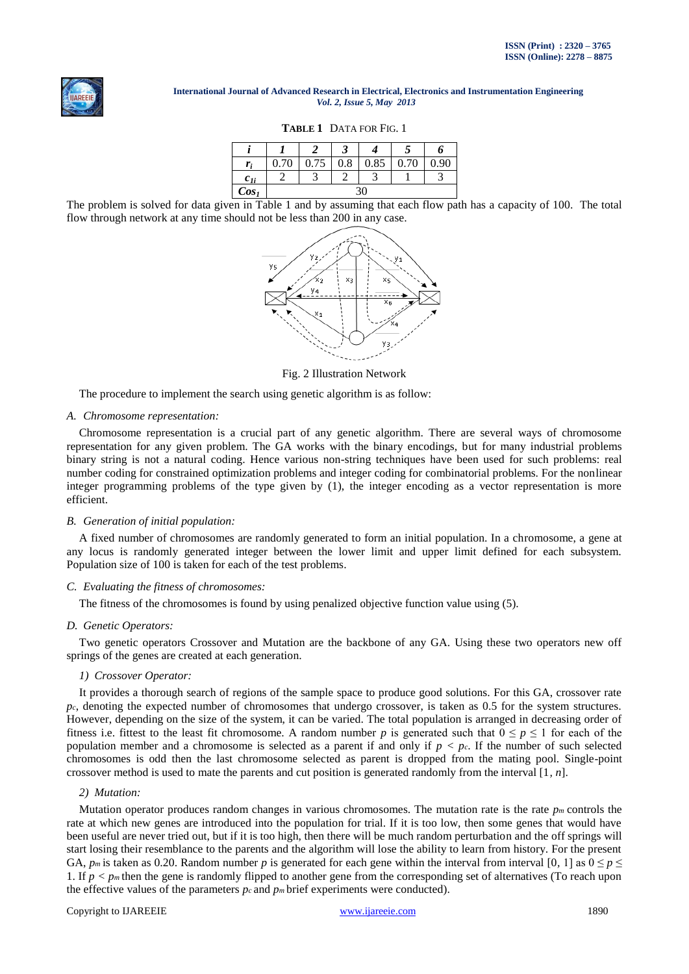

# **TABLE 1** DATA FOR FIG. 1

| r:               | 0.70 | 0.75 | 0.8 | 0.85 | 0.70 | 0.90 <sub>0</sub> |
|------------------|------|------|-----|------|------|-------------------|
| $c_{1i}$         |      |      |     |      |      |                   |
| Cos <sub>1</sub> | 36   |      |     |      |      |                   |

The problem is solved for data given in Table 1 and by assuming that each flow path has a capacity of 100. The total flow through network at any time should not be less than 200 in any case.



Fig. 2 Illustration Network

The procedure to implement the search using genetic algorithm is as follow:

# *A. Chromosome representation:*

Chromosome representation is a crucial part of any genetic algorithm. There are several ways of chromosome representation for any given problem. The GA works with the binary encodings, but for many industrial problems binary string is not a natural coding. Hence various non-string techniques have been used for such problems: real number coding for constrained optimization problems and integer coding for combinatorial problems. For the nonlinear integer programming problems of the type given by (1), the integer encoding as a vector representation is more efficient.

#### *B. Generation of initial population:*

A fixed number of chromosomes are randomly generated to form an initial population. In a chromosome, a gene at any locus is randomly generated integer between the lower limit and upper limit defined for each subsystem. Population size of 100 is taken for each of the test problems.

# *C. Evaluating the fitness of chromosomes:*

The fitness of the chromosomes is found by using penalized objective function value using (5).

#### *D. Genetic Operators:*

Two genetic operators Crossover and Mutation are the backbone of any GA. Using these two operators new off springs of the genes are created at each generation.

### *1) Crossover Operator:*

It provides a thorough search of regions of the sample space to produce good solutions. For this GA, crossover rate  $p_c$ , denoting the expected number of chromosomes that undergo crossover, is taken as 0.5 for the system structures. However, depending on the size of the system, it can be varied. The total population is arranged in decreasing order of fitness i.e. fittest to the least fit chromosome. A random number p is generated such that  $0 \le p \le 1$  for each of the population member and a chromosome is selected as a parent if and only if  $p < p_c$ . If the number of such selected chromosomes is odd then the last chromosome selected as parent is dropped from the mating pool. Single-point crossover method is used to mate the parents and cut position is generated randomly from the interval [1*, n*].

# *2) Mutation:*

Mutation operator produces random changes in various chromosomes. The mutation rate is the rate  $p_m$  controls the rate at which new genes are introduced into the population for trial. If it is too low, then some genes that would have been useful are never tried out, but if it is too high, then there will be much random perturbation and the off springs will start losing their resemblance to the parents and the algorithm will lose the ability to learn from history. For the present GA,  $p_m$  is taken as 0.20. Random number p is generated for each gene within the interval from interval [0, 1] as  $0 \le p \le$ 1. If  $p < p_m$  then the gene is randomly flipped to another gene from the corresponding set of alternatives (To reach upon the effective values of the parameters  $p_c$  and  $p_m$  brief experiments were conducted).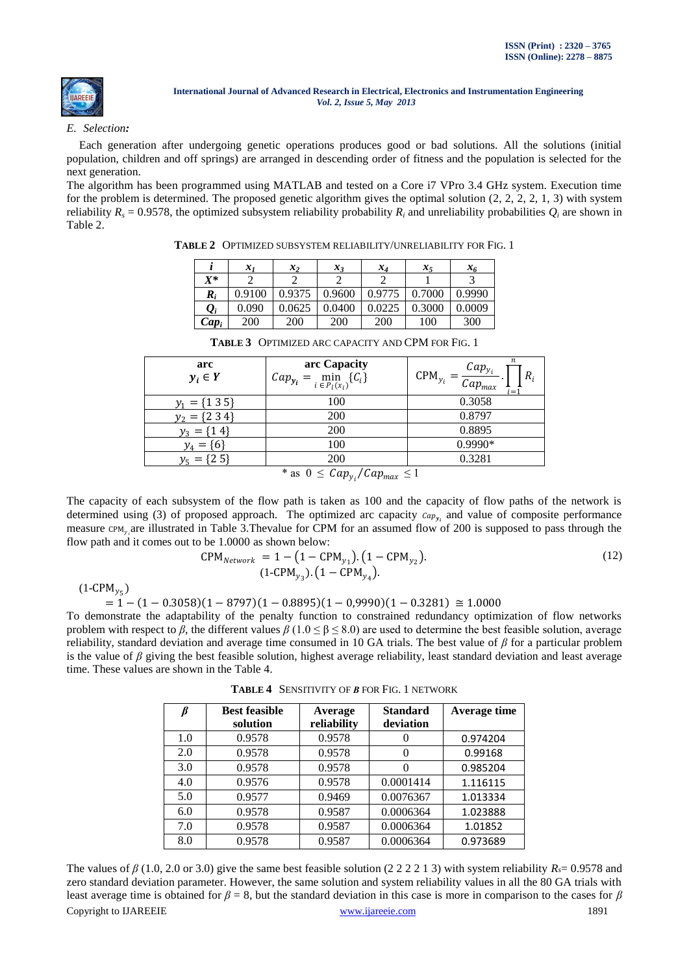

# *E. Selection:*

Each generation after undergoing genetic operations produces good or bad solutions. All the solutions (initial population, children and off springs) are arranged in descending order of fitness and the population is selected for the next generation.

The algorithm has been programmed using MATLAB and tested on a Core i7 VPro 3.4 GHz system. Execution time for the problem is determined. The proposed genetic algorithm gives the optimal solution  $(2, 2, 2, 2, 1, 3)$  with system reliability  $R_s = 0.9578$ , the optimized subsystem reliability probability  $R_i$  and unreliability probabilities  $Q_i$  are shown in Table 2.

**TABLE 2** OPTIMIZED SUBSYSTEM RELIABILITY/UNRELIABILITY FOR FIG. 1

|                          | $x_1$      | $x_{2}$ | $x_3$  | $x_4$      | $x_5$  | $x_{6}$ |
|--------------------------|------------|---------|--------|------------|--------|---------|
| $X^*$                    |            |         |        |            |        |         |
| $\boldsymbol{R}_i$       | 0.9100     | 0.9375  | 0.9600 | 0.9775     | 0.7000 | 0.9990  |
| $\boldsymbol{\varrho}_i$ | 0.090      | 0.0625  | 0.0400 | 0.0225     | 0.3000 | 0.0009  |
| $Cap_i$                  | <b>200</b> | 200     | 200    | <b>200</b> | 100    | 300     |

|                                  | $\mathcal{X}$ 1 | スっ     | $\mathcal{X}$ | $\bm{\lambda}_4$ | スィ     | $\mathcal{X}_{6}$ |
|----------------------------------|-----------------|--------|---------------|------------------|--------|-------------------|
| $X^\ast$                         |                 |        |               |                  |        |                   |
| $\boldsymbol{R}_i$               | 0.9100          | 0.9375 | 0.9600        | 0.9775           | 0.7000 | 0.9990            |
| $\varrho_{\scriptscriptstyle i}$ | 0.090           | 0.0625 | 0.0400        | 0.0225           | 0.3000 | 0.0009            |
| $Cap_i$                          | 200             | 200    | 200           | 200              | 100    | 300               |
|                                  |                 |        |               |                  |        |                   |

| arc<br>$y_i \in Y$ | arc Capacity<br>$Cap_{y_i} = \min_{i \in P_l(x_i)} \{C_i\}$ | n<br>$Cap_{y_i}$<br>$CPM_{y_i}$<br>$R_i$<br>$Cap_{max}$<br>'=' |
|--------------------|-------------------------------------------------------------|----------------------------------------------------------------|
| ${135}$            | 100                                                         | 0.3058                                                         |
| {2 3 4}            | 200                                                         | 0.8797                                                         |
| $y_3 = \{14\}$     | 200                                                         | 0.8895                                                         |
| ${6}$<br>$y_4 =$   | 100                                                         | $0.9990*$                                                      |
| $y_5 = \{2\,5\}$   | 200                                                         | 0.3281                                                         |
|                    | * as $0 \leq C a n$ . $C a n$ . $\leq$                      |                                                                |

**TABLE 3** OPTIMIZED ARC CAPACITY AND CPM FOR FIG. 1

\* as  $0 \leq Cap_{y_i}/Cap_{max} \leq 1$ 

The capacity of each subsystem of the flow path is taken as 100 and the capacity of flow paths of the network is determined using (3) of proposed approach. The optimized arc capacity  $cap_{y_i}$  and value of composite performance measure CPM<sub>y<sub>i</sub></sub>are illustrated in Table 3. Thevalue for CPM for an assumed flow of 200 is supposed to pass through the flow path and it comes out to be 1.0000 as shown below:

$$
CPM_{Network} = 1 - (1 - CPM_{y_1}). (1 - CPM_{y_2}).
$$
  
(1-CPM<sub>y\_3</sub>). (1 - CPM<sub>y\_4</sub>). (12)

 $(1\text{-CPM}_{y_5})$ 

```
= 1 - (1 - 0.3058)(1 - 8797)(1 - 0.8895)(1 - 0.9990)(1 - 0.3281) \approx 1.0000
```
To demonstrate the adaptability of the penalty function to constrained redundancy optimization of flow networks problem with respect to *β*, the different values *β* (1.0 ≤ β ≤ 8.0) are used to determine the best feasible solution, average reliability, standard deviation and average time consumed in 10 GA trials. The best value of *β* for a particular problem is the value of *β* giving the best feasible solution, highest average reliability, least standard deviation and least average time. These values are shown in the Table 4.

| β   | <b>Best feasible</b><br>solution | Average<br>reliability | <b>Standard</b><br>deviation | Average time |
|-----|----------------------------------|------------------------|------------------------------|--------------|
| 1.0 | 0.9578                           | 0.9578                 |                              | 0.974204     |
| 2.0 | 0.9578                           | 0.9578                 | 0                            | 0.99168      |
| 3.0 | 0.9578                           | 0.9578                 | 0                            | 0.985204     |
| 4.0 | 0.9576                           | 0.9578                 | 0.0001414                    | 1.116115     |
| 5.0 | 0.9577                           | 0.9469                 | 0.0076367                    | 1.013334     |
| 6.0 | 0.9578                           | 0.9587                 | 0.0006364                    | 1.023888     |
| 7.0 | 0.9578                           | 0.9587                 | 0.0006364                    | 1.01852      |
| 8.0 | 0.9578                           | 0.9587                 | 0.0006364                    | 0.973689     |

**TABLE 4** SENSITIVITY OF *Β* FOR FIG. 1 NETWORK

Copyright to IJAREEIE [www.ijareeie.com](http://www.ijareeie.com/) 1891 The values of  $\beta$  (1.0, 2.0 or 3.0) give the same best feasible solution (2 2 2 2 1 3) with system reliability  $R_s = 0.9578$  and zero standard deviation parameter. However, the same solution and system reliability values in all the 80 GA trials with least average time is obtained for *β* = 8, but the standard deviation in this case is more in comparison to the cases for *β*